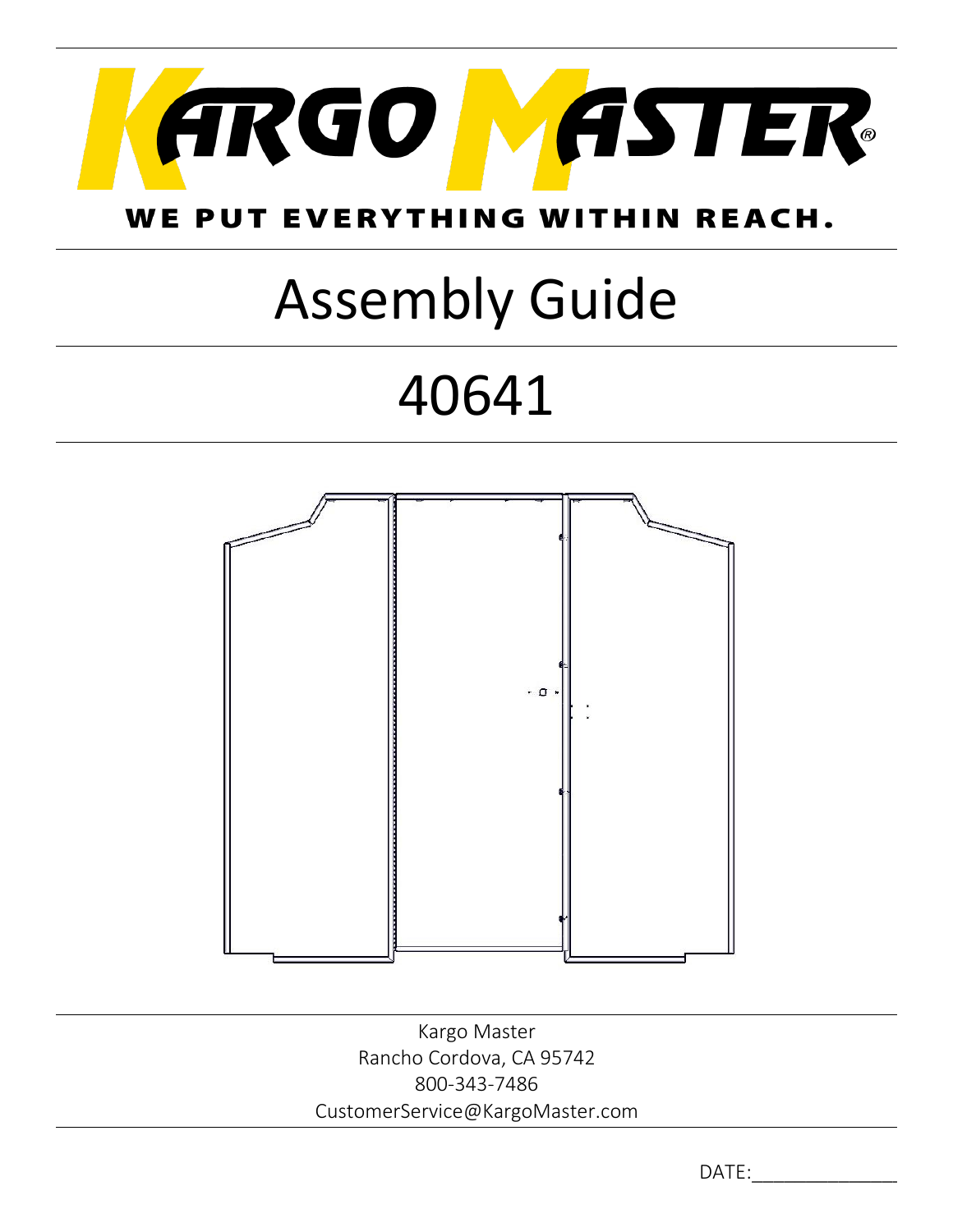

### WE PUT EVERYTHING WITHIN REACH.

# Assembly Guide

## 40641



Kargo Master Rancho Cordova, CA 95742 800-343-7486 CustomerService@KargoMaster.com

DATE: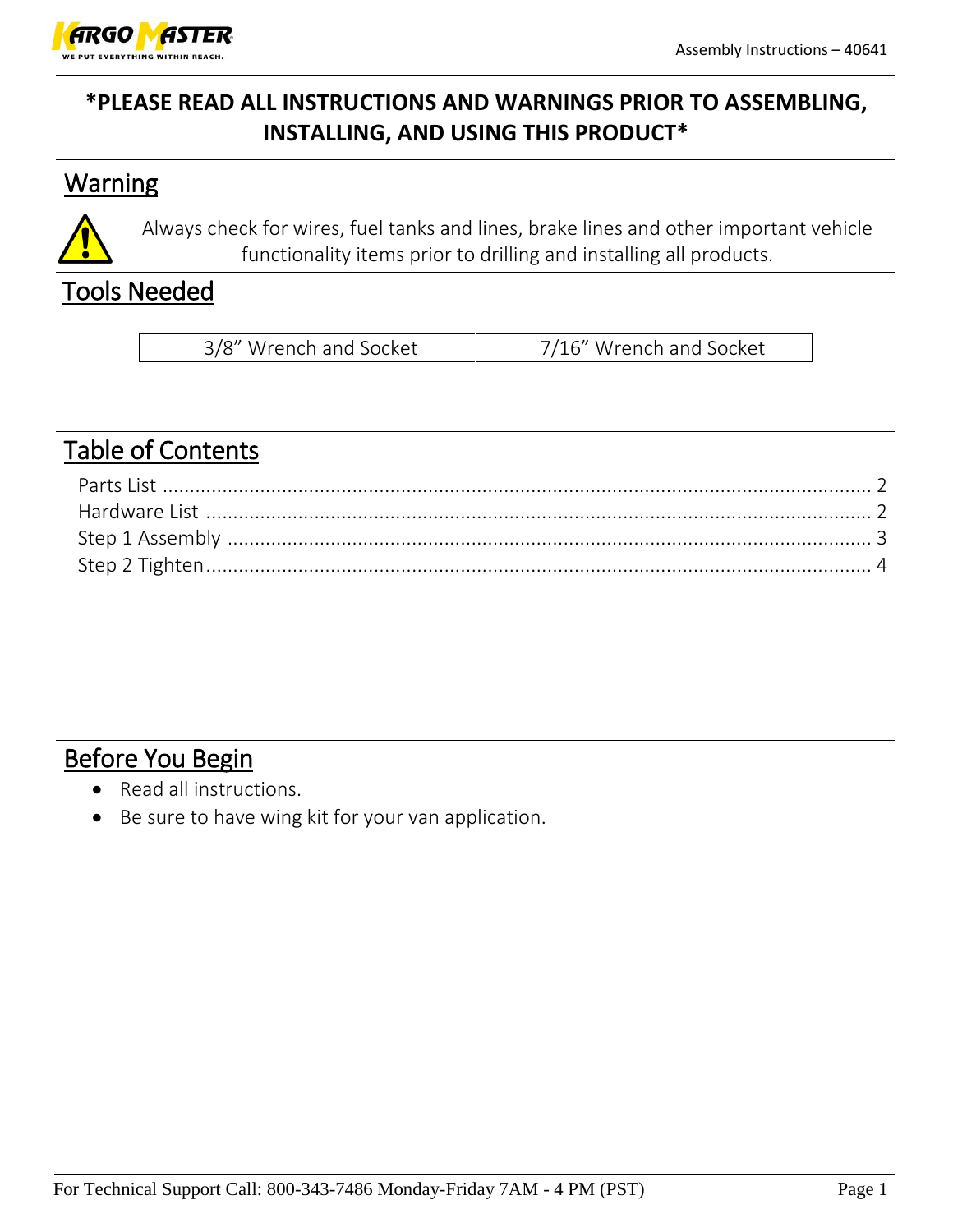

#### **\*PLEASE READ ALL INSTRUCTIONS AND WARNINGS PRIOR TO ASSEMBLING, INSTALLING, AND USING THIS PRODUCT\***

#### **Warning**



Always check for wires, fuel tanks and lines, brake lines and other important vehicle functionality items prior to drilling and installing all products.

#### Tools Needed

| 3/8" Wrench and Socket | 7/16" Wrench and Socket |
|------------------------|-------------------------|
|------------------------|-------------------------|

#### Table of Contents

#### Before You Begin

- Read all instructions.
- Be sure to have wing kit for your van application.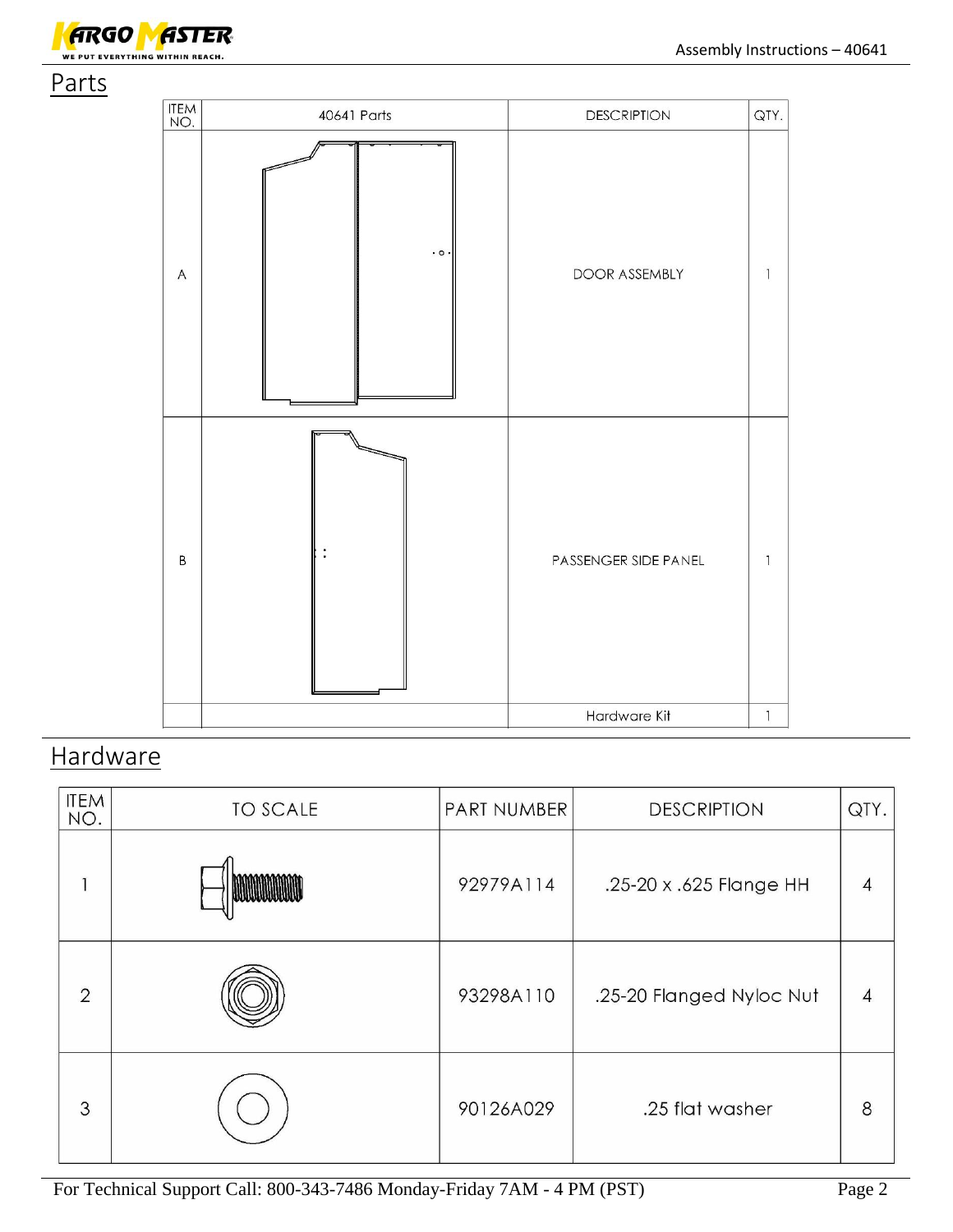



#### **Hardware**

| <b>ITEM</b><br>NO. | <b>TO SCALE</b> | PART NUMBER | <b>DESCRIPTION</b>       | QTY.           |
|--------------------|-----------------|-------------|--------------------------|----------------|
|                    |                 | 92979A114   | .25-20 x .625 Flange HH  | $\overline{4}$ |
| $\overline{2}$     |                 | 93298A110   | .25-20 Flanged Nyloc Nut | $\overline{4}$ |
| 3                  |                 | 90126A029   | .25 flat washer          | 8              |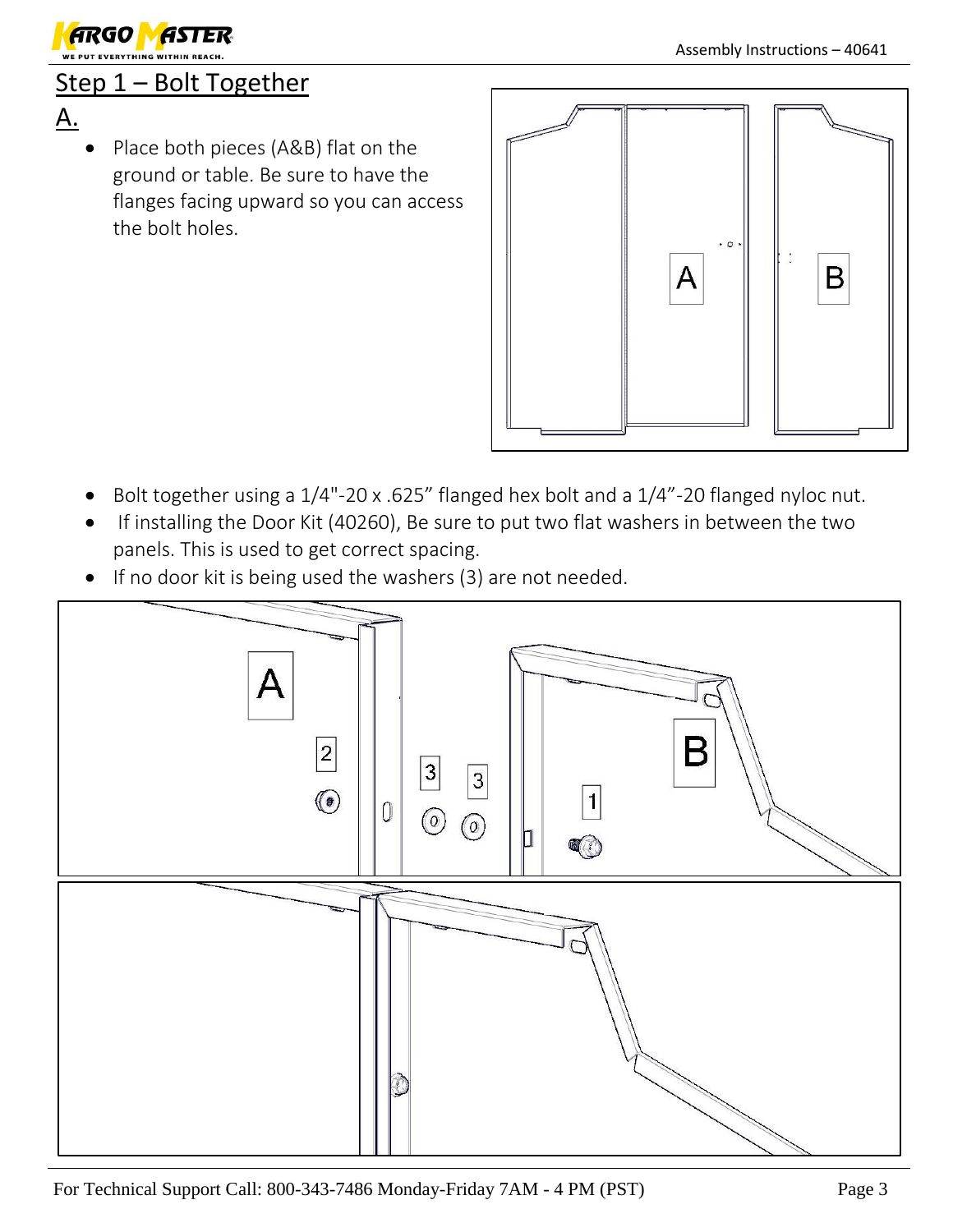

#### Step 1 – Bolt Together

- A.
	- Place both pieces (A&B) flat on the ground or table. Be sure to have the flanges facing upward so you can access the bolt holes.



- Bolt together using a 1/4"-20 x .625" flanged hex bolt and a 1/4"-20 flanged nyloc nut.
- If installing the Door Kit (40260), Be sure to put two flat washers in between the two panels. This is used to get correct spacing.
- If no door kit is being used the washers (3) are not needed.